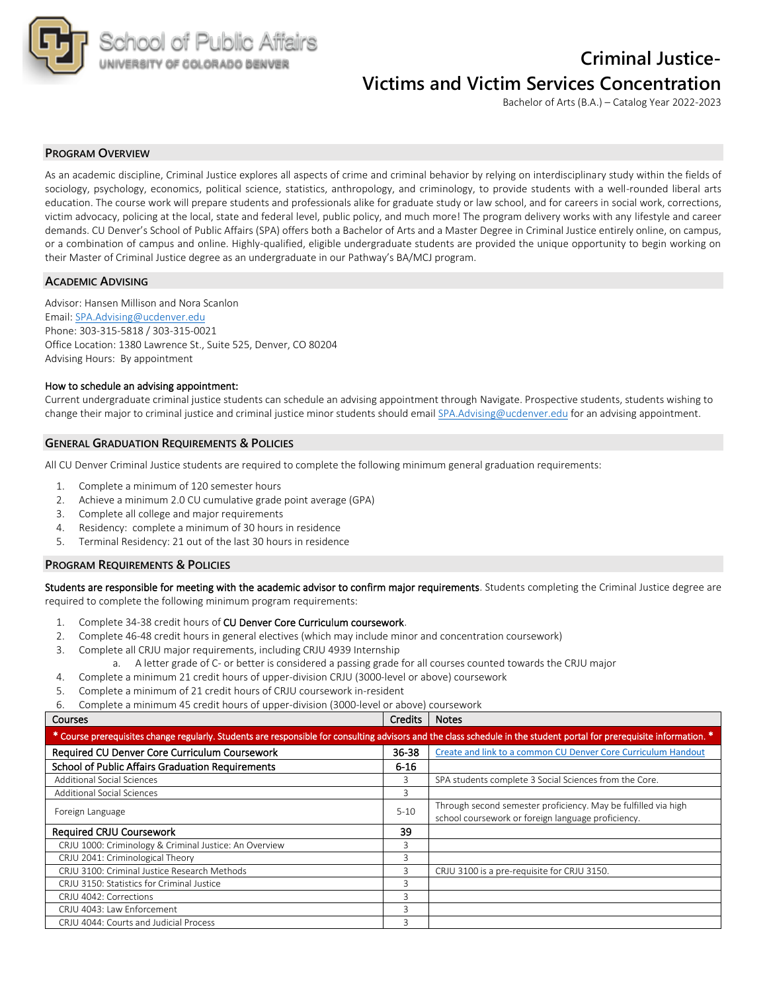

# **Criminal Justice-Victims and Victim Services Concentration**

Bachelor of Arts (B.A.) – Catalog Year 2022-2023

### **PROGRAM OVERVIEW**

As an academic discipline, Criminal Justice explores all aspects of crime and criminal behavior by relying on interdisciplinary study within the fields of sociology, psychology, economics, political science, statistics, anthropology, and criminology, to provide students with a well-rounded liberal arts education. The course work will prepare students and professionals alike for graduate study or law school, and for careers in social work, corrections, victim advocacy, policing at the local, state and federal level, public policy, and much more! The program delivery works with any lifestyle and career demands. CU Denver's School of Public Affairs (SPA) offers both a Bachelor of Arts and a Master Degree in Criminal Justice entirely online, on campus, or a combination of campus and online. Highly-qualified, eligible undergraduate students are provided the unique opportunity to begin working on their Master of Criminal Justice degree as an undergraduate in our Pathway's BA/MCJ program.

#### **ACADEMIC ADVISING**

Advisor: Hansen Millison and Nora Scanlon Email: SPA.Advising@ucdenver.edu Phone: 303-315-5818 / 303-315-0021 Office Location: 1380 Lawrence St., Suite 525, Denver, CO 80204 Advising Hours: By appointment

#### How to schedule an advising appointment:

Current undergraduate criminal justice students can schedule an advising appointment through Navigate. Prospective students, students wishing to change their major to criminal justice and criminal justice minor students should email SPA.Advising@ucdenver.edu for an advising appointment.

### **GENERAL GRADUATION REQUIREMENTS & POLICIES**

All CU Denver Criminal Justice students are required to complete the following minimum general graduation requirements:

- 1. Complete a minimum of 120 semester hours
- 2. Achieve a minimum 2.0 CU cumulative grade point average (GPA)
- 3. Complete all college and major requirements
- 4. Residency: complete a minimum of 30 hours in residence
- 5. Terminal Residency: 21 out of the last 30 hours in residence

### **PROGRAM REQUIREMENTS & POLICIES**

Students are responsible for meeting with the academic advisor to confirm major requirements. Students completing the Criminal Justice degree are required to complete the following minimum program requirements:

- 1. Complete 34-38 credit hours of CU Denver Core Curriculum coursework.
- 2. Complete 46-48 credit hours in general electives (which may include minor and concentration coursework)
- 3. Complete all CRJU major requirements, including CRJU 4939 Internship
	- a. A letter grade of C- or better is considered a passing grade for all courses counted towards the CRJU major
- 4. Complete a minimum 21 credit hours of upper-division CRJU (3000-level or above) coursework
- 5. Complete a minimum of 21 credit hours of CRJU coursework in-resident

6. Complete a minimum 45 credit hours of upper-division (3000-level or above) coursework

#### **Courses Courses Courses Courses Courses Courses Courses Courses Courses Courses Courses Courses Courses Courses**

| * Course prerequisites change regularly. Students are responsible for consulting advisors and the class schedule in the student portal for prerequisite information. * |           |                                                                                                                      |  |  |  |  |  |
|------------------------------------------------------------------------------------------------------------------------------------------------------------------------|-----------|----------------------------------------------------------------------------------------------------------------------|--|--|--|--|--|
| Required CU Denver Core Curriculum Coursework                                                                                                                          | $36 - 38$ | Create and link to a common CU Denver Core Curriculum Handout                                                        |  |  |  |  |  |
| <b>School of Public Affairs Graduation Requirements</b>                                                                                                                | $6 - 16$  |                                                                                                                      |  |  |  |  |  |
| <b>Additional Social Sciences</b>                                                                                                                                      | 3         | SPA students complete 3 Social Sciences from the Core.                                                               |  |  |  |  |  |
| <b>Additional Social Sciences</b>                                                                                                                                      | 3         |                                                                                                                      |  |  |  |  |  |
| Foreign Language                                                                                                                                                       | $5 - 10$  | Through second semester proficiency. May be fulfilled via high<br>school coursework or foreign language proficiency. |  |  |  |  |  |
| <b>Required CRJU Coursework</b>                                                                                                                                        | 39        |                                                                                                                      |  |  |  |  |  |
| CRJU 1000: Criminology & Criminal Justice: An Overview                                                                                                                 | 3         |                                                                                                                      |  |  |  |  |  |
| CRJU 2041: Criminological Theory                                                                                                                                       | 3         |                                                                                                                      |  |  |  |  |  |
| CRJU 3100: Criminal Justice Research Methods                                                                                                                           | 3         | CRJU 3100 is a pre-requisite for CRJU 3150.                                                                          |  |  |  |  |  |
| CRJU 3150: Statistics for Criminal Justice                                                                                                                             | 3         |                                                                                                                      |  |  |  |  |  |
| CRJU 4042: Corrections                                                                                                                                                 | 3         |                                                                                                                      |  |  |  |  |  |
| CRJU 4043: Law Enforcement                                                                                                                                             | 3         |                                                                                                                      |  |  |  |  |  |
| CRJU 4044: Courts and Judicial Process                                                                                                                                 | 3         |                                                                                                                      |  |  |  |  |  |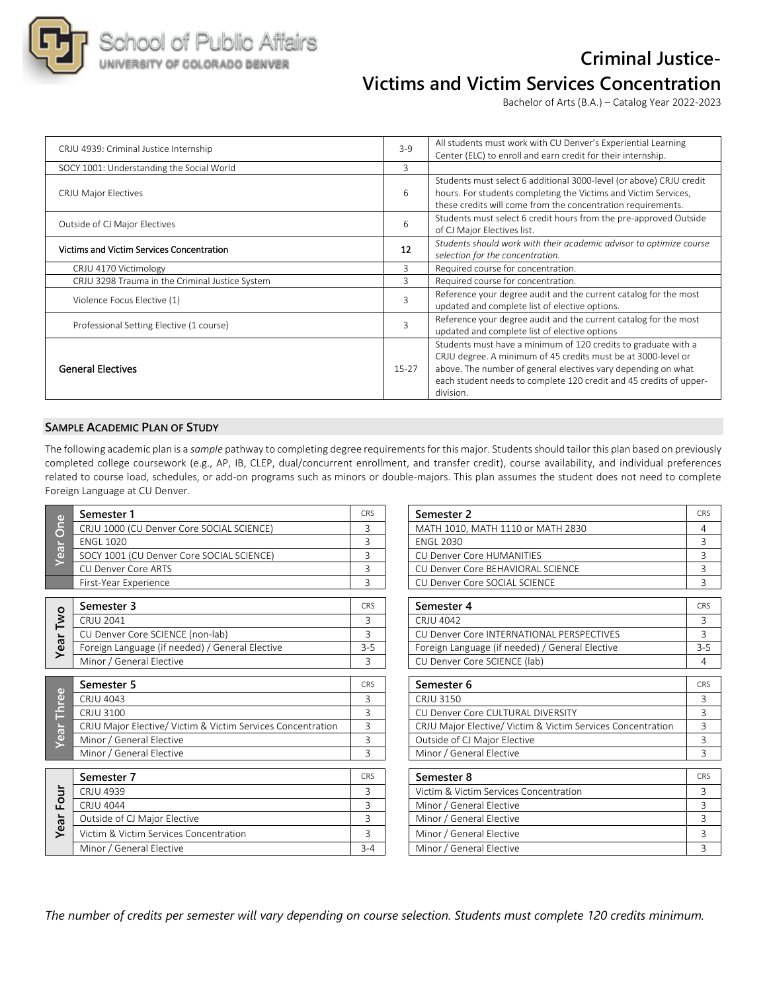

# **Criminal Justice-Victims and Victim Services Concentration**

Bachelor of Arts (B.A.) – Catalog Year 2022-2023

| CRJU 4939: Criminal Justice Internship          | $3 - 9$ | All students must work with CU Denver's Experiential Learning<br>Center (ELC) to enroll and earn credit for their internship.                                                                                                                                                       |
|-------------------------------------------------|---------|-------------------------------------------------------------------------------------------------------------------------------------------------------------------------------------------------------------------------------------------------------------------------------------|
| SOCY 1001: Understanding the Social World       | 3       |                                                                                                                                                                                                                                                                                     |
| CRJU Major Electives                            | 6       | Students must select 6 additional 3000-level (or above) CRJU credit<br>hours. For students completing the Victims and Victim Services,<br>these credits will come from the concentration requirements.                                                                              |
| Outside of CJ Major Electives                   | 6       | Students must select 6 credit hours from the pre-approved Outside<br>of CJ Major Electives list.                                                                                                                                                                                    |
| Victims and Victim Services Concentration       | 12      | Students should work with their academic advisor to optimize course<br>selection for the concentration.                                                                                                                                                                             |
| CRJU 4170 Victimology                           | 3       | Required course for concentration.                                                                                                                                                                                                                                                  |
| CRJU 3298 Trauma in the Criminal Justice System | 3       | Required course for concentration.                                                                                                                                                                                                                                                  |
| Violence Focus Elective (1)                     | 3       | Reference your degree audit and the current catalog for the most<br>updated and complete list of elective options.                                                                                                                                                                  |
| Professional Setting Elective (1 course)        |         | Reference your degree audit and the current catalog for the most<br>updated and complete list of elective options                                                                                                                                                                   |
| <b>General Electives</b>                        | $15-27$ | Students must have a minimum of 120 credits to graduate with a<br>CRJU degree. A minimum of 45 credits must be at 3000-level or<br>above. The number of general electives vary depending on what<br>each student needs to complete 120 credit and 45 credits of upper-<br>division. |

## **SAMPLE ACADEMIC PLAN OF STUDY**

The following academic plan is a *sample* pathway to completing degree requirements for this major. Students should tailor this plan based on previously completed college coursework (e.g., AP, IB, CLEP, dual/concurrent enrollment, and transfer credit), course availability, and individual preferences related to course load, schedules, or add-on programs such as minors or double-majors. This plan assumes the student does not need to complete Foreign Language at CU Denver.

| $\mathbf \omega$        | Semester 1                                                  | <b>CRS</b>     | Semester <sub>2</sub>                                       | <b>CR</b>      |
|-------------------------|-------------------------------------------------------------|----------------|-------------------------------------------------------------|----------------|
| ă<br><b>Tes</b>         | CRJU 1000 (CU Denver Core SOCIAL SCIENCE)                   | 3              | MATH 1010, MATH 1110 or MATH 2830                           | $\overline{4}$ |
|                         | <b>ENGL 1020</b>                                            | 3              | <b>FNGL 2030</b>                                            | 3              |
|                         | SOCY 1001 (CU Denver Core SOCIAL SCIENCE)                   | 3              | <b>CU Denver Core HUMANITIES</b>                            | 3              |
|                         | CU Denver Core ARTS                                         | 3              | CU Denver Core BEHAVIORAL SCIENCE                           | 3              |
|                         | First-Year Experience                                       | 3              | CU Denver Core SOCIAL SCIENCE                               | 3              |
|                         | Semester 3                                                  | <b>CRS</b>     | Semester 4                                                  | <b>CR</b>      |
| Two                     | CRJU 2041                                                   | 3              | CRJU 4042                                                   | 3              |
|                         | CU Denver Core SCIENCE (non-lab)                            | 3              | CU Denver Core INTERNATIONAL PERSPECTIVES                   | 3              |
| Year                    | Foreign Language (if needed) / General Elective             | $3 - 5$        | Foreign Language (if needed) / General Elective             | $3-$           |
|                         | Minor / General Elective                                    | 3              | CU Denver Core SCIENCE (lab)                                | $\overline{4}$ |
|                         | Semester 5                                                  | <b>CRS</b>     | Semester 6                                                  | CR             |
| $\bigoplus$<br>e<br>E   | CRJU 4043                                                   | 3              | CRJU 3150                                                   | 3              |
|                         | CRJU 3100                                                   | 3              | CU Denver Core CULTURAL DIVERSITY                           | 3              |
| ă                       | CRJU Major Elective/ Victim & Victim Services Concentration | 3              | CRJU Major Elective/ Victim & Victim Services Concentration | 3              |
| $\overline{\mathbf{0}}$ | Minor / General Elective                                    | 3              | Outside of CJ Major Elective                                | 3              |
|                         | Minor / General Elective                                    | 3              | Minor / General Elective                                    | $\overline{3}$ |
|                         | Semester 7                                                  | <b>CRS</b>     | Semester 8                                                  | <b>CR</b>      |
|                         | <b>CRJU 4939</b>                                            | 3              | Victim & Victim Services Concentration                      | 3              |
| Four                    | <b>CRJU 4044</b>                                            | 3              | Minor / General Elective                                    | 3              |
|                         | Outside of CJ Major Elective                                | 3              | Minor / General Elective                                    | 3              |
| Year                    | Victim & Victim Services Concentration                      | $\overline{3}$ | Minor / General Elective                                    | 3              |
|                         | Minor / General Elective                                    | $3 - 4$        | Minor / General Elective                                    | 3              |

| Semester 1                                                  | <b>CRS</b> | Semester 2                                                  | CRS        |
|-------------------------------------------------------------|------------|-------------------------------------------------------------|------------|
| CRJU 1000 (CU Denver Core SOCIAL SCIENCE)                   | 3          | MATH 1010, MATH 1110 or MATH 2830                           | 4          |
| <b>ENGL 1020</b>                                            | 3          | <b>ENGL 2030</b>                                            | 3          |
| SOCY 1001 (CU Denver Core SOCIAL SCIENCE)                   | 3          | <b>CU Denver Core HUMANITIES</b>                            | 3          |
| <b>CU Denver Core ARTS</b>                                  | 3          | CU Denver Core BEHAVIORAL SCIENCE                           | 3          |
| First-Year Experience                                       | 3          | CU Denver Core SOCIAL SCIENCE                               | 3          |
| Semester 3                                                  | <b>CRS</b> | Semester 4                                                  | CRS        |
| <b>CRJU 2041</b>                                            | 3          | CRJU 4042                                                   | 3          |
| CU Denver Core SCIENCE (non-lab)                            | 3          | CU Denver Core INTERNATIONAL PERSPECTIVES                   | 3          |
| Foreign Language (if needed) / General Elective             | $3 - 5$    | Foreign Language (if needed) / General Elective             | $3 - 5$    |
| Minor / General Elective                                    | 3          | CU Denver Core SCIENCE (lab)                                | 4          |
| Semester 5                                                  | CRS        | Semester 6                                                  | CRS        |
| <b>CRJU 4043</b>                                            | 3          | CRJU 3150                                                   | 3          |
| <b>CRJU 3100</b>                                            | 3          | CU Denver Core CULTURAL DIVERSITY                           | 3          |
| CRJU Major Elective/ Victim & Victim Services Concentration | 3          | CRJU Major Elective/ Victim & Victim Services Concentration | 3          |
| Minor / General Elective                                    | 3          | Outside of CJ Major Elective                                | 3          |
| Minor / General Elective                                    | 3          | Minor / General Elective                                    | 3          |
| Semester 7                                                  | <b>CRS</b> | Semester 8                                                  | <b>CRS</b> |
| <b>CRJU 4939</b>                                            | 3          | Victim & Victim Services Concentration                      | 3          |
| <b>CRJU 4044</b>                                            | 3          | Minor / General Elective                                    | 3          |
| Outside of CJ Major Elective                                | 3          | Minor / General Elective                                    | 3          |
| Victim & Victim Services Concentration                      | 3          | Minor / General Elective                                    | 3          |
| Minor / General Elective                                    | $3 - 4$    | Minor / General Elective                                    | 3          |

*The number of credits per semester will vary depending on course selection. Students must complete 120 credits minimum.*